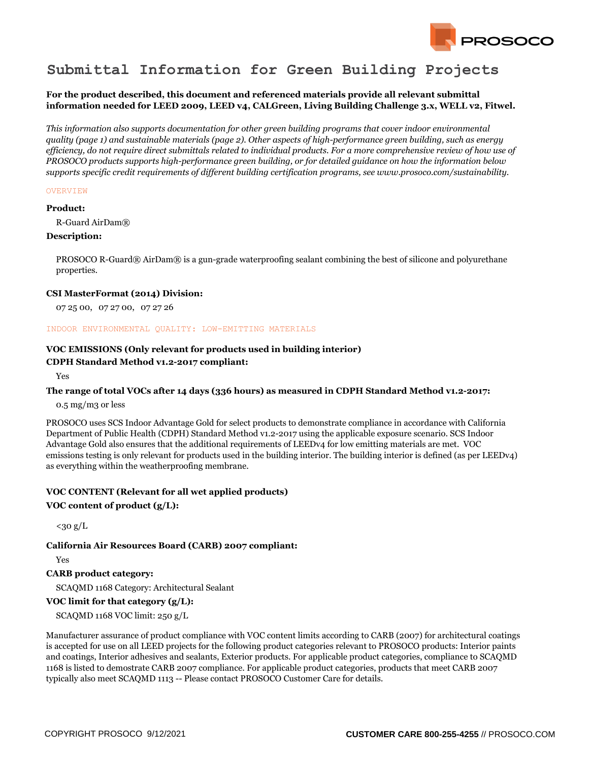

# **Submittal Information for Green Building Projects**

## **For the product described, this document and referenced materials provide all relevant submittal information needed for LEED 2009, LEED v4, CALGreen, Living Building Challenge 3.x, WELL v2, Fitwel.**

*This information also supports documentation for other green building programs that cover indoor environmental quality (page 1) and sustainable materials (page 2). Other aspects of high-performance green building, such as energy efficiency, do not require direct submittals related to individual products. For a more comprehensive review of how use of PROSOCO products supports high-performance green building, or for detailed guidance on how the information below supports specific credit requirements of different building certification programs, see www.prosoco.com/sustainability.*

#### **OVERVIEW**

#### **Product:**

R-Guard AirDam®

#### **Description:**

PROSOCO R-Guard® AirDam® is a gun-grade waterproofing sealant combining the best of silicone and polyurethane properties.

#### **CSI MasterFormat (2014) Division:**

07 25 00, 07 27 00, 07 27 26

#### INDOOR ENVIRONMENTAL QUALITY: LOW-EMITTING MATERIALS

# **VOC EMISSIONS (Only relevant for products used in building interior)**

## **CDPH Standard Method v1.2-2017 compliant:**

Yes

### **The range of total VOCs after 14 days (336 hours) as measured in CDPH Standard Method v1.2-2017:**

0.5 mg/m3 or less

PROSOCO uses SCS Indoor Advantage Gold for select products to demonstrate compliance in accordance with California Department of Public Health (CDPH) Standard Method v1.2-2017 using the applicable exposure scenario. SCS Indoor Advantage Gold also ensures that the additional requirements of LEEDv4 for low emitting materials are met. VOC emissions testing is only relevant for products used in the building interior. The building interior is defined (as per LEEDv4) as everything within the weatherproofing membrane.

## **VOC CONTENT (Relevant for all wet applied products)**

## **VOC content of product (g/L):**

 $<sub>30 g/L</sub>$ </sub>

### **California Air Resources Board (CARB) 2007 compliant:**

Yes

## **CARB product category:**

SCAQMD 1168 Category: Architectural Sealant

# **VOC limit for that category (g/L):**

SCAQMD 1168 VOC limit: 250 g/L

Manufacturer assurance of product compliance with VOC content limits according to CARB (2007) for architectural coatings is accepted for use on all LEED projects for the following product categories relevant to PROSOCO products: Interior paints and coatings, Interior adhesives and sealants, Exterior products. For applicable product categories, compliance to SCAQMD 1168 is listed to demostrate CARB 2007 compliance. For applicable product categories, products that meet CARB 2007 typically also meet SCAQMD 1113 -- Please contact PROSOCO Customer Care for details.